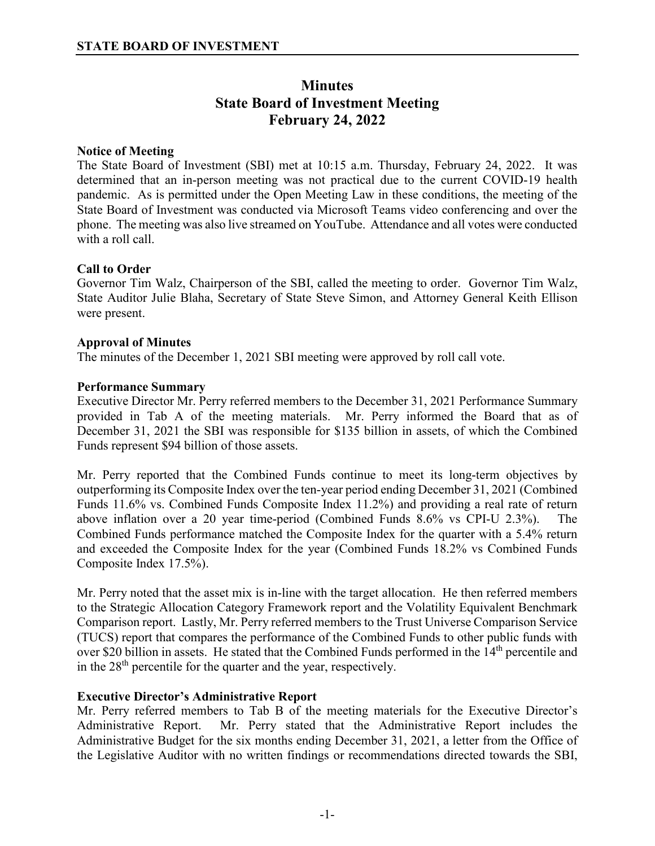# **Minutes State Board of Investment Meeting February 24, 2022**

# **Notice of Meeting**

The State Board of Investment (SBI) met at 10:15 a.m. Thursday, February 24, 2022. It was determined that an in-person meeting was not practical due to the current COVID-19 health pandemic. As is permitted under the Open Meeting Law in these conditions, the meeting of the State Board of Investment was conducted via Microsoft Teams video conferencing and over the phone. The meeting was also live streamed on YouTube. Attendance and all votes were conducted with a roll call.

# **Call to Order**

Governor Tim Walz, Chairperson of the SBI, called the meeting to order. Governor Tim Walz, State Auditor Julie Blaha, Secretary of State Steve Simon, and Attorney General Keith Ellison were present.

## **Approval of Minutes**

The minutes of the December 1, 2021 SBI meeting were approved by roll call vote.

# **Performance Summary**

Executive Director Mr. Perry referred members to the December 31, 2021 Performance Summary provided in Tab A of the meeting materials. Mr. Perry informed the Board that as of December 31, 2021 the SBI was responsible for \$135 billion in assets, of which the Combined Funds represent \$94 billion of those assets.

Mr. Perry reported that the Combined Funds continue to meet its long-term objectives by outperforming its Composite Index over the ten-year period ending December 31, 2021 (Combined Funds 11.6% vs. Combined Funds Composite Index 11.2%) and providing a real rate of return above inflation over a 20 year time-period (Combined Funds 8.6% vs CPI-U 2.3%). The Combined Funds performance matched the Composite Index for the quarter with a 5.4% return and exceeded the Composite Index for the year (Combined Funds 18.2% vs Combined Funds Composite Index 17.5%).

Mr. Perry noted that the asset mix is in-line with the target allocation. He then referred members to the Strategic Allocation Category Framework report and the Volatility Equivalent Benchmark Comparison report. Lastly, Mr. Perry referred members to the Trust Universe Comparison Service (TUCS) report that compares the performance of the Combined Funds to other public funds with over \$20 billion in assets. He stated that the Combined Funds performed in the 14<sup>th</sup> percentile and in the  $28<sup>th</sup>$  percentile for the quarter and the year, respectively.

# **Executive Director's Administrative Report**

Mr. Perry referred members to Tab B of the meeting materials for the Executive Director's Administrative Report. Mr. Perry stated that the Administrative Report includes the Administrative Budget for the six months ending December 31, 2021, a letter from the Office of the Legislative Auditor with no written findings or recommendations directed towards the SBI,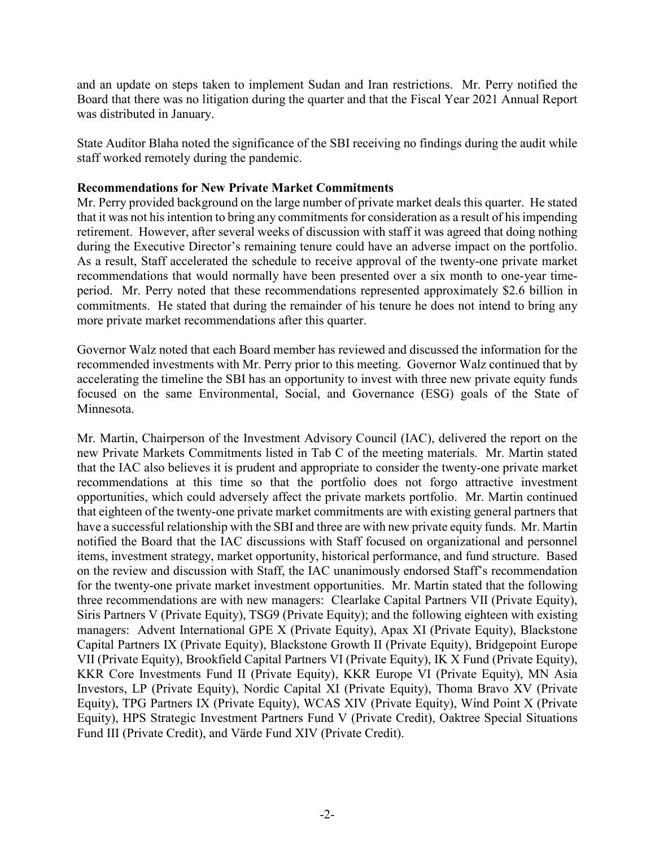and an update on steps taken to implement Sudan and Iran restrictions. Mr. Perry notified the Board that there was no litigation during the quarter and that the Fiscal Year 2021 Annual Report was distributed in January.

State Auditor Blaha noted the significance of the SBI receiving no findings during the audit while staff worked remotely during the pandemic.

## **Recommendations for New Private Market Commitments**

Mr. Perry provided background on the large number of private market deals this quarter. He stated that it was not his intention to bring any commitments for consideration as a result of his impending retirement. However, after several weeks of discussion with staff it was agreed that doing nothing during the Executive Director's remaining tenure could have an adverse impact on the portfolio. As a result, Staff accelerated the schedule to receive approval of the twenty-one private market recommendations that would normally have been presented over a six month to one-year timeperiod. Mr. Perry noted that these recommendations represented approximately \$2.6 billion in commitments. He stated that during the remainder of his tenure he does not intend to bring any more private market recommendations after this quarter.

Governor Walz noted that each Board member has reviewed and discussed the information for the recommended investments with Mr. Perry prior to this meeting. Governor Walz continued that by accelerating the timeline the SBI has an opportunity to invest with three new private equity funds focused on the same Environmental, Social, and Governance (ESG) goals of the State of Minnesota.

Mr. Martin, Chairperson of the Investment Advisory Council (IAC), delivered the report on the new Private Markets Commitments listed in Tab C of the meeting materials. Mr. Martin stated that the IAC also believes it is prudent and appropriate to consider the twenty-one private market recommendations at this time so that the portfolio does not forgo attractive investment opportunities, which could adversely affect the private markets portfolio. Mr. Martin continued that eighteen of the twenty-one private market commitments are with existing general partners that have a successful relationship with the SBI and three are with new private equity funds. Mr. Martin notified the Board that the IAC discussions with Staff focused on organizational and personnel items, investment strategy, market opportunity, historical performance, and fund structure. Based on the review and discussion with Staff, the IAC unanimously endorsed Staff's recommendation for the twenty-one private market investment opportunities. Mr. Martin stated that the following three recommendations are with new managers: Clearlake Capital Partners VII (Private Equity), Siris Partners V (Private Equity), TSG9 (Private Equity); and the following eighteen with existing managers: Advent International GPE X (Private Equity), Apax XI (Private Equity), Blackstone Capital Partners IX (Private Equity), Blackstone Growth II (Private Equity), Bridgepoint Europe VII (Private Equity), Brookfield Capital Partners VI (Private Equity), IK X Fund (Private Equity), KKR Core Investments Fund II (Private Equity), KKR Europe VI (Private Equity), MN Asia Investors, LP (Private Equity), Nordic Capital XI (Private Equity), Thoma Bravo XV (Private Equity), TPG Partners IX (Private Equity), WCAS XIV (Private Equity), Wind Point X (Private Equity), HPS Strategic Investment Partners Fund V (Private Credit), Oaktree Special Situations Fund III (Private Credit), and Värde Fund XIV (Private Credit).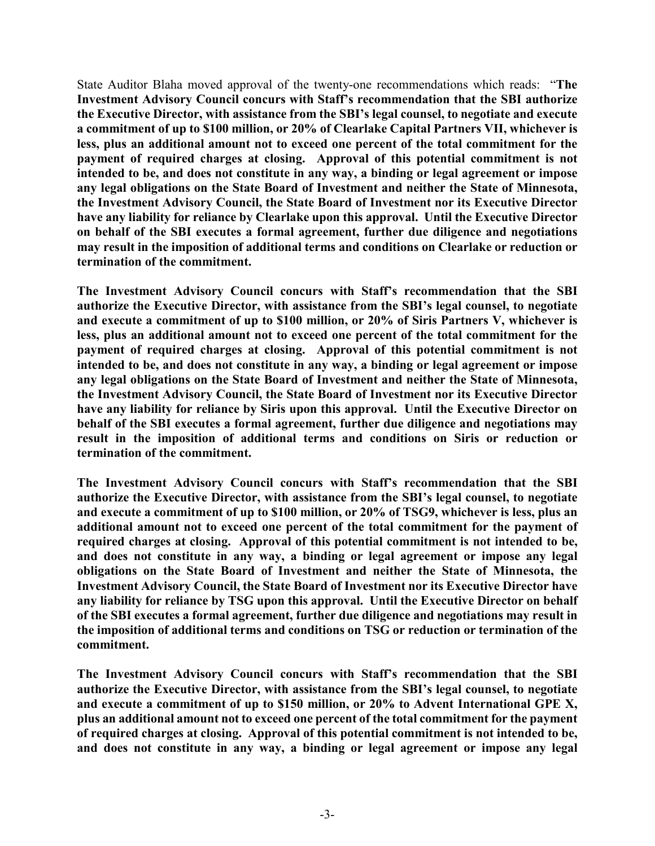State Auditor Blaha moved approval of the twenty-one recommendations which reads: "**The Investment Advisory Council concurs with Staff's recommendation that the SBI authorize the Executive Director, with assistance from the SBI's legal counsel, to negotiate and execute a commitment of up to \$100 million, or 20% of Clearlake Capital Partners VII, whichever is less, plus an additional amount not to exceed one percent of the total commitment for the payment of required charges at closing. Approval of this potential commitment is not intended to be, and does not constitute in any way, a binding or legal agreement or impose any legal obligations on the State Board of Investment and neither the State of Minnesota, the Investment Advisory Council, the State Board of Investment nor its Executive Director have any liability for reliance by Clearlake upon this approval. Until the Executive Director on behalf of the SBI executes a formal agreement, further due diligence and negotiations may result in the imposition of additional terms and conditions on Clearlake or reduction or termination of the commitment.**

**The Investment Advisory Council concurs with Staff's recommendation that the SBI authorize the Executive Director, with assistance from the SBI's legal counsel, to negotiate and execute a commitment of up to \$100 million, or 20% of Siris Partners V, whichever is less, plus an additional amount not to exceed one percent of the total commitment for the payment of required charges at closing. Approval of this potential commitment is not intended to be, and does not constitute in any way, a binding or legal agreement or impose any legal obligations on the State Board of Investment and neither the State of Minnesota, the Investment Advisory Council, the State Board of Investment nor its Executive Director have any liability for reliance by Siris upon this approval. Until the Executive Director on behalf of the SBI executes a formal agreement, further due diligence and negotiations may result in the imposition of additional terms and conditions on Siris or reduction or termination of the commitment.**

**The Investment Advisory Council concurs with Staff's recommendation that the SBI authorize the Executive Director, with assistance from the SBI's legal counsel, to negotiate and execute a commitment of up to \$100 million, or 20% of TSG9, whichever is less, plus an additional amount not to exceed one percent of the total commitment for the payment of required charges at closing. Approval of this potential commitment is not intended to be, and does not constitute in any way, a binding or legal agreement or impose any legal obligations on the State Board of Investment and neither the State of Minnesota, the Investment Advisory Council, the State Board of Investment nor its Executive Director have any liability for reliance by TSG upon this approval. Until the Executive Director on behalf of the SBI executes a formal agreement, further due diligence and negotiations may result in the imposition of additional terms and conditions on TSG or reduction or termination of the commitment.**

**The Investment Advisory Council concurs with Staff's recommendation that the SBI authorize the Executive Director, with assistance from the SBI's legal counsel, to negotiate and execute a commitment of up to \$150 million, or 20% to Advent International GPE X, plus an additional amount not to exceed one percent of the total commitment for the payment of required charges at closing. Approval of this potential commitment is not intended to be, and does not constitute in any way, a binding or legal agreement or impose any legal**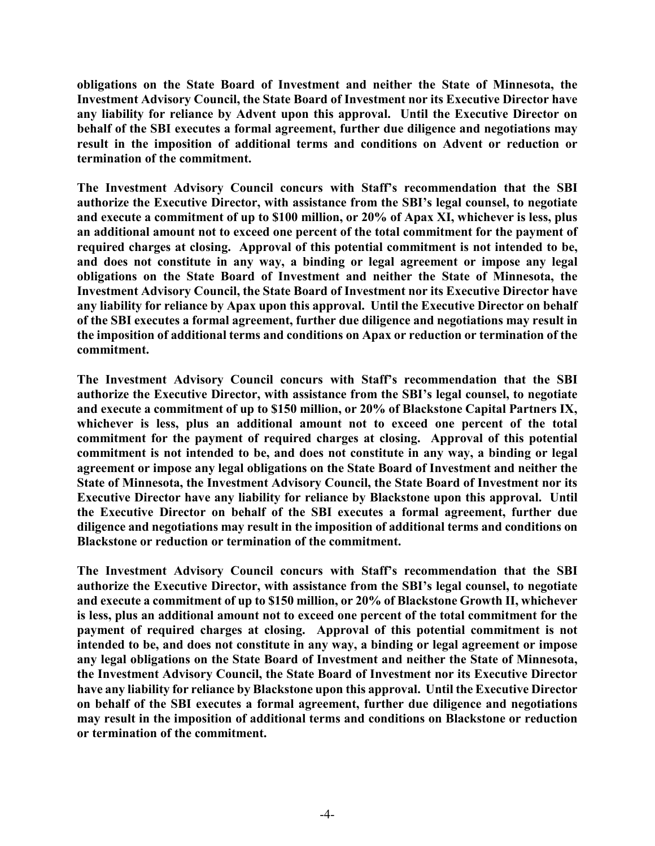**obligations on the State Board of Investment and neither the State of Minnesota, the Investment Advisory Council, the State Board of Investment nor its Executive Director have any liability for reliance by Advent upon this approval. Until the Executive Director on behalf of the SBI executes a formal agreement, further due diligence and negotiations may result in the imposition of additional terms and conditions on Advent or reduction or termination of the commitment.**

**The Investment Advisory Council concurs with Staff's recommendation that the SBI authorize the Executive Director, with assistance from the SBI's legal counsel, to negotiate and execute a commitment of up to \$100 million, or 20% of Apax XI, whichever is less, plus an additional amount not to exceed one percent of the total commitment for the payment of required charges at closing. Approval of this potential commitment is not intended to be, and does not constitute in any way, a binding or legal agreement or impose any legal obligations on the State Board of Investment and neither the State of Minnesota, the Investment Advisory Council, the State Board of Investment nor its Executive Director have any liability for reliance by Apax upon this approval. Until the Executive Director on behalf of the SBI executes a formal agreement, further due diligence and negotiations may result in the imposition of additional terms and conditions on Apax or reduction or termination of the commitment.**

**The Investment Advisory Council concurs with Staff's recommendation that the SBI authorize the Executive Director, with assistance from the SBI's legal counsel, to negotiate and execute a commitment of up to \$150 million, or 20% of Blackstone Capital Partners IX, whichever is less, plus an additional amount not to exceed one percent of the total commitment for the payment of required charges at closing. Approval of this potential commitment is not intended to be, and does not constitute in any way, a binding or legal agreement or impose any legal obligations on the State Board of Investment and neither the State of Minnesota, the Investment Advisory Council, the State Board of Investment nor its Executive Director have any liability for reliance by Blackstone upon this approval. Until the Executive Director on behalf of the SBI executes a formal agreement, further due diligence and negotiations may result in the imposition of additional terms and conditions on Blackstone or reduction or termination of the commitment.**

**The Investment Advisory Council concurs with Staff's recommendation that the SBI authorize the Executive Director, with assistance from the SBI's legal counsel, to negotiate and execute a commitment of up to \$150 million, or 20% of Blackstone Growth II, whichever is less, plus an additional amount not to exceed one percent of the total commitment for the payment of required charges at closing. Approval of this potential commitment is not intended to be, and does not constitute in any way, a binding or legal agreement or impose any legal obligations on the State Board of Investment and neither the State of Minnesota, the Investment Advisory Council, the State Board of Investment nor its Executive Director have any liability for reliance by Blackstone upon this approval. Until the Executive Director on behalf of the SBI executes a formal agreement, further due diligence and negotiations may result in the imposition of additional terms and conditions on Blackstone or reduction or termination of the commitment.**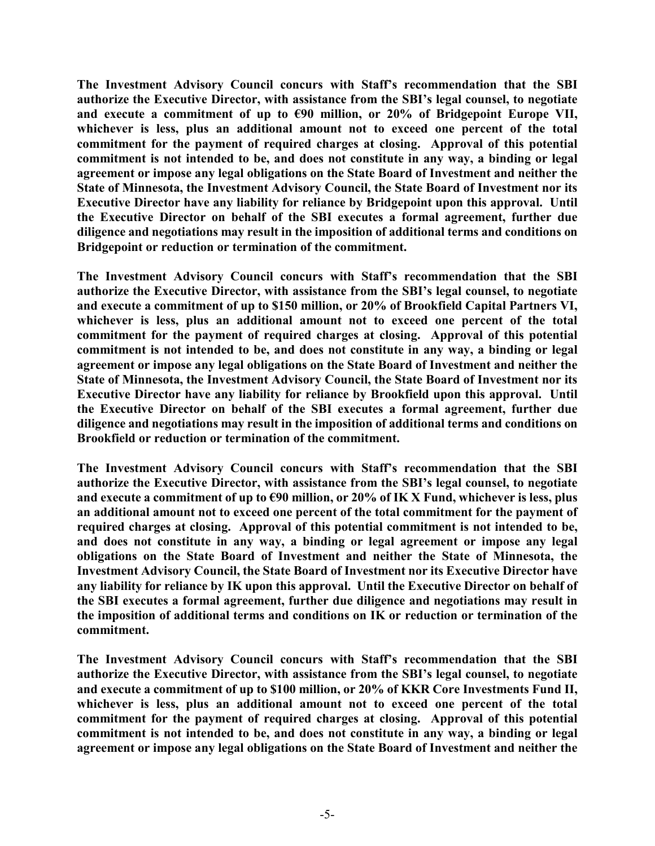**The Investment Advisory Council concurs with Staff's recommendation that the SBI authorize the Executive Director, with assistance from the SBI's legal counsel, to negotiate**  and execute a commitment of up to  $\epsilon$ 90 million, or 20% of Bridgepoint Europe VII, **whichever is less, plus an additional amount not to exceed one percent of the total commitment for the payment of required charges at closing. Approval of this potential commitment is not intended to be, and does not constitute in any way, a binding or legal agreement or impose any legal obligations on the State Board of Investment and neither the State of Minnesota, the Investment Advisory Council, the State Board of Investment nor its Executive Director have any liability for reliance by Bridgepoint upon this approval. Until the Executive Director on behalf of the SBI executes a formal agreement, further due diligence and negotiations may result in the imposition of additional terms and conditions on Bridgepoint or reduction or termination of the commitment.**

**The Investment Advisory Council concurs with Staff's recommendation that the SBI authorize the Executive Director, with assistance from the SBI's legal counsel, to negotiate and execute a commitment of up to \$150 million, or 20% of Brookfield Capital Partners VI, whichever is less, plus an additional amount not to exceed one percent of the total commitment for the payment of required charges at closing. Approval of this potential commitment is not intended to be, and does not constitute in any way, a binding or legal agreement or impose any legal obligations on the State Board of Investment and neither the State of Minnesota, the Investment Advisory Council, the State Board of Investment nor its Executive Director have any liability for reliance by Brookfield upon this approval. Until the Executive Director on behalf of the SBI executes a formal agreement, further due diligence and negotiations may result in the imposition of additional terms and conditions on Brookfield or reduction or termination of the commitment.**

**The Investment Advisory Council concurs with Staff's recommendation that the SBI authorize the Executive Director, with assistance from the SBI's legal counsel, to negotiate and execute a commitment of up to €90 million, or 20% of IK X Fund, whichever is less, plus an additional amount not to exceed one percent of the total commitment for the payment of required charges at closing. Approval of this potential commitment is not intended to be, and does not constitute in any way, a binding or legal agreement or impose any legal obligations on the State Board of Investment and neither the State of Minnesota, the Investment Advisory Council, the State Board of Investment nor its Executive Director have any liability for reliance by IK upon this approval. Until the Executive Director on behalf of the SBI executes a formal agreement, further due diligence and negotiations may result in the imposition of additional terms and conditions on IK or reduction or termination of the commitment.**

**The Investment Advisory Council concurs with Staff's recommendation that the SBI authorize the Executive Director, with assistance from the SBI's legal counsel, to negotiate and execute a commitment of up to \$100 million, or 20% of KKR Core Investments Fund II, whichever is less, plus an additional amount not to exceed one percent of the total commitment for the payment of required charges at closing. Approval of this potential commitment is not intended to be, and does not constitute in any way, a binding or legal agreement or impose any legal obligations on the State Board of Investment and neither the**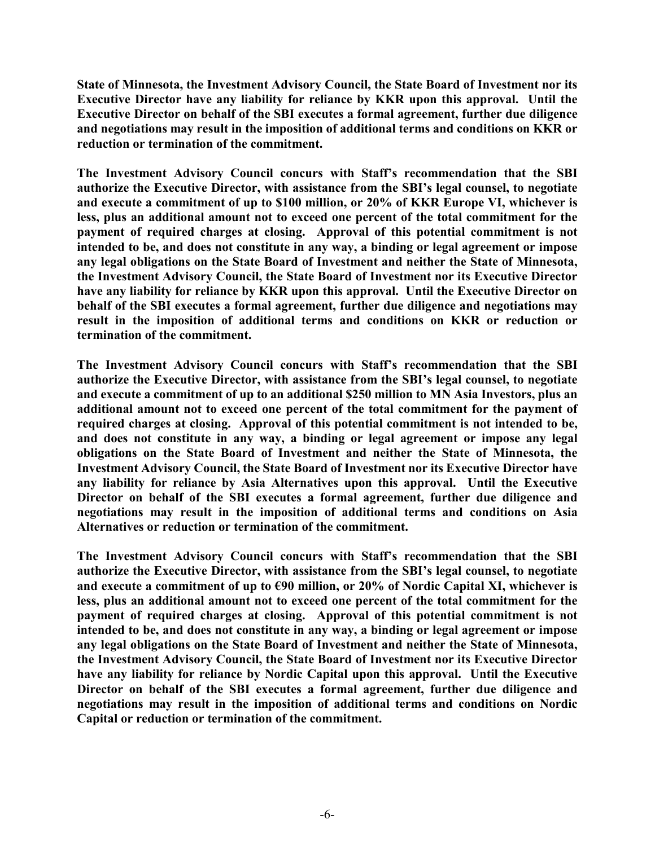**State of Minnesota, the Investment Advisory Council, the State Board of Investment nor its Executive Director have any liability for reliance by KKR upon this approval. Until the Executive Director on behalf of the SBI executes a formal agreement, further due diligence and negotiations may result in the imposition of additional terms and conditions on KKR or reduction or termination of the commitment.**

**The Investment Advisory Council concurs with Staff's recommendation that the SBI authorize the Executive Director, with assistance from the SBI's legal counsel, to negotiate and execute a commitment of up to \$100 million, or 20% of KKR Europe VI, whichever is less, plus an additional amount not to exceed one percent of the total commitment for the payment of required charges at closing. Approval of this potential commitment is not intended to be, and does not constitute in any way, a binding or legal agreement or impose any legal obligations on the State Board of Investment and neither the State of Minnesota, the Investment Advisory Council, the State Board of Investment nor its Executive Director have any liability for reliance by KKR upon this approval. Until the Executive Director on behalf of the SBI executes a formal agreement, further due diligence and negotiations may result in the imposition of additional terms and conditions on KKR or reduction or termination of the commitment.**

**The Investment Advisory Council concurs with Staff's recommendation that the SBI authorize the Executive Director, with assistance from the SBI's legal counsel, to negotiate and execute a commitment of up to an additional \$250 million to MN Asia Investors, plus an additional amount not to exceed one percent of the total commitment for the payment of required charges at closing. Approval of this potential commitment is not intended to be, and does not constitute in any way, a binding or legal agreement or impose any legal obligations on the State Board of Investment and neither the State of Minnesota, the Investment Advisory Council, the State Board of Investment nor its Executive Director have any liability for reliance by Asia Alternatives upon this approval. Until the Executive Director on behalf of the SBI executes a formal agreement, further due diligence and negotiations may result in the imposition of additional terms and conditions on Asia Alternatives or reduction or termination of the commitment.**

**The Investment Advisory Council concurs with Staff's recommendation that the SBI authorize the Executive Director, with assistance from the SBI's legal counsel, to negotiate and execute a commitment of up to €90 million, or 20% of Nordic Capital XI, whichever is less, plus an additional amount not to exceed one percent of the total commitment for the payment of required charges at closing. Approval of this potential commitment is not intended to be, and does not constitute in any way, a binding or legal agreement or impose any legal obligations on the State Board of Investment and neither the State of Minnesota, the Investment Advisory Council, the State Board of Investment nor its Executive Director have any liability for reliance by Nordic Capital upon this approval. Until the Executive**  Director on behalf of the SBI executes a formal agreement, further due diligence and **negotiations may result in the imposition of additional terms and conditions on Nordic Capital or reduction or termination of the commitment.**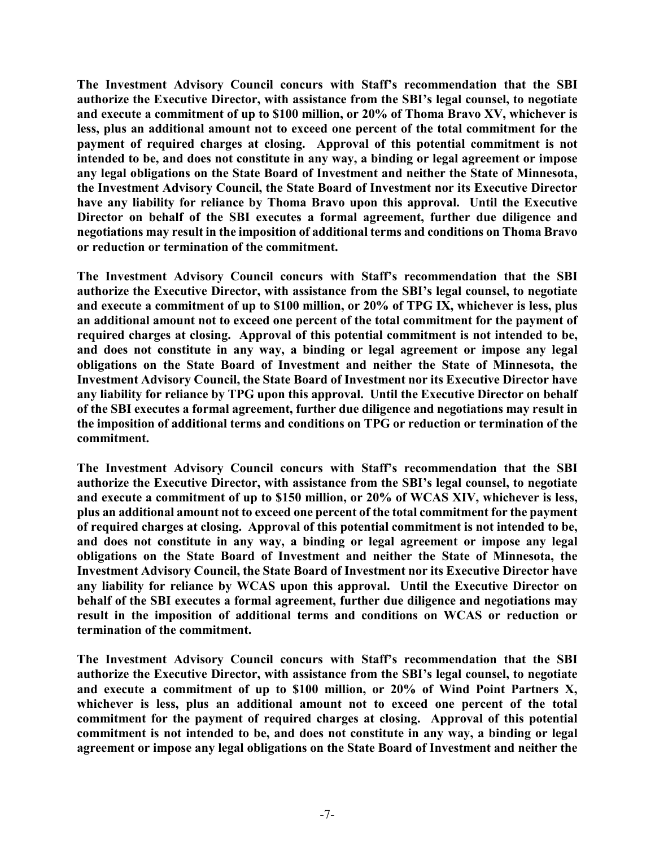**The Investment Advisory Council concurs with Staff's recommendation that the SBI authorize the Executive Director, with assistance from the SBI's legal counsel, to negotiate and execute a commitment of up to \$100 million, or 20% of Thoma Bravo XV, whichever is less, plus an additional amount not to exceed one percent of the total commitment for the payment of required charges at closing. Approval of this potential commitment is not intended to be, and does not constitute in any way, a binding or legal agreement or impose any legal obligations on the State Board of Investment and neither the State of Minnesota, the Investment Advisory Council, the State Board of Investment nor its Executive Director have any liability for reliance by Thoma Bravo upon this approval. Until the Executive Director on behalf of the SBI executes a formal agreement, further due diligence and negotiations may result in the imposition of additional terms and conditions on Thoma Bravo or reduction or termination of the commitment.**

**The Investment Advisory Council concurs with Staff's recommendation that the SBI authorize the Executive Director, with assistance from the SBI's legal counsel, to negotiate and execute a commitment of up to \$100 million, or 20% of TPG IX, whichever is less, plus an additional amount not to exceed one percent of the total commitment for the payment of required charges at closing. Approval of this potential commitment is not intended to be, and does not constitute in any way, a binding or legal agreement or impose any legal obligations on the State Board of Investment and neither the State of Minnesota, the Investment Advisory Council, the State Board of Investment nor its Executive Director have any liability for reliance by TPG upon this approval. Until the Executive Director on behalf of the SBI executes a formal agreement, further due diligence and negotiations may result in the imposition of additional terms and conditions on TPG or reduction or termination of the commitment.**

**The Investment Advisory Council concurs with Staff's recommendation that the SBI authorize the Executive Director, with assistance from the SBI's legal counsel, to negotiate and execute a commitment of up to \$150 million, or 20% of WCAS XIV, whichever is less, plus an additional amount not to exceed one percent of the total commitment for the payment of required charges at closing. Approval of this potential commitment is not intended to be, and does not constitute in any way, a binding or legal agreement or impose any legal obligations on the State Board of Investment and neither the State of Minnesota, the Investment Advisory Council, the State Board of Investment nor its Executive Director have any liability for reliance by WCAS upon this approval. Until the Executive Director on behalf of the SBI executes a formal agreement, further due diligence and negotiations may result in the imposition of additional terms and conditions on WCAS or reduction or termination of the commitment.**

**The Investment Advisory Council concurs with Staff's recommendation that the SBI authorize the Executive Director, with assistance from the SBI's legal counsel, to negotiate and execute a commitment of up to \$100 million, or 20% of Wind Point Partners X, whichever is less, plus an additional amount not to exceed one percent of the total commitment for the payment of required charges at closing. Approval of this potential commitment is not intended to be, and does not constitute in any way, a binding or legal agreement or impose any legal obligations on the State Board of Investment and neither the**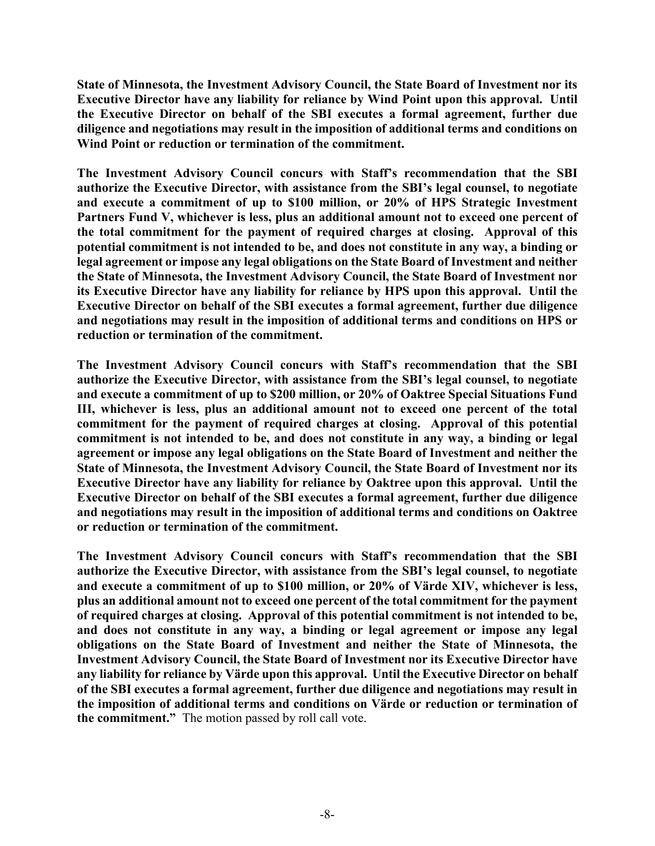**State of Minnesota, the Investment Advisory Council, the State Board of Investment nor its Executive Director have any liability for reliance by Wind Point upon this approval. Until the Executive Director on behalf of the SBI executes a formal agreement, further due diligence and negotiations may result in the imposition of additional terms and conditions on Wind Point or reduction or termination of the commitment.** 

**The Investment Advisory Council concurs with Staff's recommendation that the SBI authorize the Executive Director, with assistance from the SBI's legal counsel, to negotiate and execute a commitment of up to \$100 million, or 20% of HPS Strategic Investment Partners Fund V, whichever is less, plus an additional amount not to exceed one percent of the total commitment for the payment of required charges at closing. Approval of this potential commitment is not intended to be, and does not constitute in any way, a binding or legal agreement or impose any legal obligations on the State Board of Investment and neither the State of Minnesota, the Investment Advisory Council, the State Board of Investment nor its Executive Director have any liability for reliance by HPS upon this approval. Until the Executive Director on behalf of the SBI executes a formal agreement, further due diligence and negotiations may result in the imposition of additional terms and conditions on HPS or reduction or termination of the commitment.**

**The Investment Advisory Council concurs with Staff's recommendation that the SBI authorize the Executive Director, with assistance from the SBI's legal counsel, to negotiate and execute a commitment of up to \$200 million, or 20% of Oaktree Special Situations Fund III, whichever is less, plus an additional amount not to exceed one percent of the total commitment for the payment of required charges at closing. Approval of this potential commitment is not intended to be, and does not constitute in any way, a binding or legal agreement or impose any legal obligations on the State Board of Investment and neither the State of Minnesota, the Investment Advisory Council, the State Board of Investment nor its Executive Director have any liability for reliance by Oaktree upon this approval. Until the Executive Director on behalf of the SBI executes a formal agreement, further due diligence and negotiations may result in the imposition of additional terms and conditions on Oaktree or reduction or termination of the commitment.**

**The Investment Advisory Council concurs with Staff's recommendation that the SBI authorize the Executive Director, with assistance from the SBI's legal counsel, to negotiate and execute a commitment of up to \$100 million, or 20% of Värde XIV, whichever is less, plus an additional amount not to exceed one percent of the total commitment for the payment of required charges at closing. Approval of this potential commitment is not intended to be, and does not constitute in any way, a binding or legal agreement or impose any legal obligations on the State Board of Investment and neither the State of Minnesota, the Investment Advisory Council, the State Board of Investment nor its Executive Director have any liability for reliance by Värde upon this approval. Until the Executive Director on behalf of the SBI executes a formal agreement, further due diligence and negotiations may result in the imposition of additional terms and conditions on Värde or reduction or termination of the commitment."** The motion passed by roll call vote.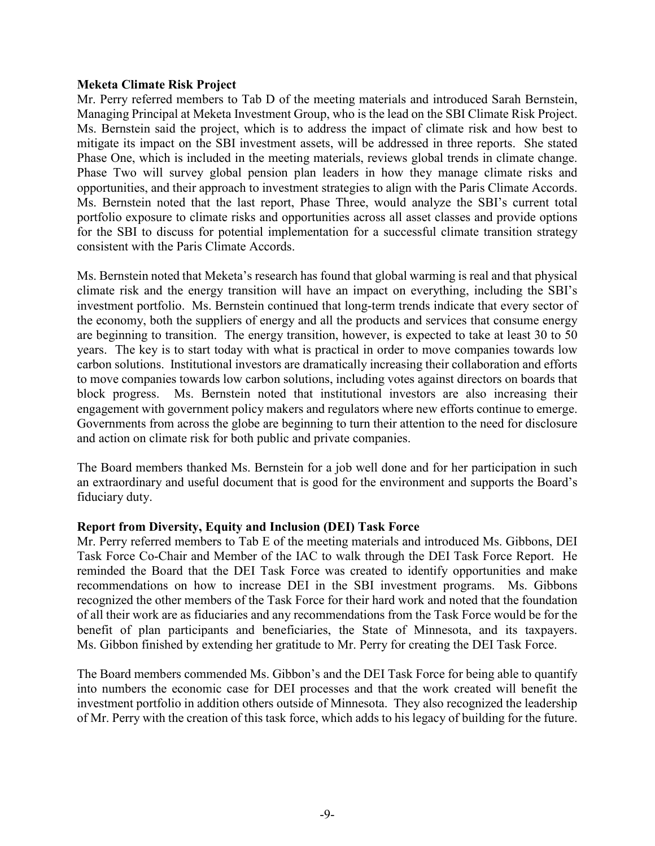#### **Meketa Climate Risk Project**

Mr. Perry referred members to Tab D of the meeting materials and introduced Sarah Bernstein, Managing Principal at Meketa Investment Group, who is the lead on the SBI Climate Risk Project. Ms. Bernstein said the project, which is to address the impact of climate risk and how best to mitigate its impact on the SBI investment assets, will be addressed in three reports. She stated Phase One, which is included in the meeting materials, reviews global trends in climate change. Phase Two will survey global pension plan leaders in how they manage climate risks and opportunities, and their approach to investment strategies to align with the Paris Climate Accords. Ms. Bernstein noted that the last report, Phase Three, would analyze the SBI's current total portfolio exposure to climate risks and opportunities across all asset classes and provide options for the SBI to discuss for potential implementation for a successful climate transition strategy consistent with the Paris Climate Accords.

Ms. Bernstein noted that Meketa's research has found that global warming is real and that physical climate risk and the energy transition will have an impact on everything, including the SBI's investment portfolio. Ms. Bernstein continued that long-term trends indicate that every sector of the economy, both the suppliers of energy and all the products and services that consume energy are beginning to transition. The energy transition, however, is expected to take at least 30 to 50 years. The key is to start today with what is practical in order to move companies towards low carbon solutions. Institutional investors are dramatically increasing their collaboration and efforts to move companies towards low carbon solutions, including votes against directors on boards that block progress. Ms. Bernstein noted that institutional investors are also increasing their engagement with government policy makers and regulators where new efforts continue to emerge. Governments from across the globe are beginning to turn their attention to the need for disclosure and action on climate risk for both public and private companies.

The Board members thanked Ms. Bernstein for a job well done and for her participation in such an extraordinary and useful document that is good for the environment and supports the Board's fiduciary duty.

## **Report from Diversity, Equity and Inclusion (DEI) Task Force**

Mr. Perry referred members to Tab E of the meeting materials and introduced Ms. Gibbons, DEI Task Force Co-Chair and Member of the IAC to walk through the DEI Task Force Report. He reminded the Board that the DEI Task Force was created to identify opportunities and make recommendations on how to increase DEI in the SBI investment programs. Ms. Gibbons recognized the other members of the Task Force for their hard work and noted that the foundation of all their work are as fiduciaries and any recommendations from the Task Force would be for the benefit of plan participants and beneficiaries, the State of Minnesota, and its taxpayers. Ms. Gibbon finished by extending her gratitude to Mr. Perry for creating the DEI Task Force.

The Board members commended Ms. Gibbon's and the DEI Task Force for being able to quantify into numbers the economic case for DEI processes and that the work created will benefit the investment portfolio in addition others outside of Minnesota. They also recognized the leadership of Mr. Perry with the creation of this task force, which adds to his legacy of building for the future.